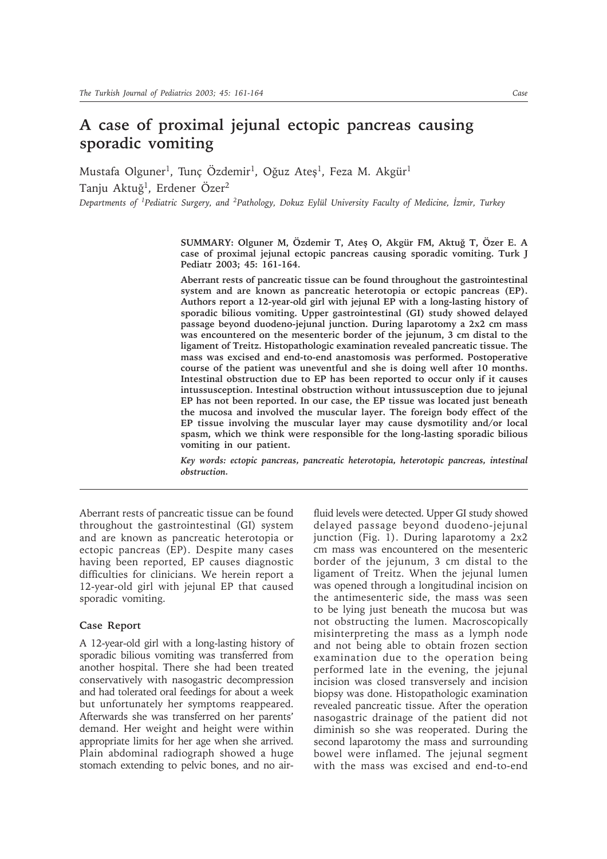# **A case of proximal jejunal ectopic pancreas causing sporadic vomiting**

Mustafa Olguner<sup>1</sup>, Tunç Özdemir<sup>1</sup>, Oğuz Ateş<sup>1</sup>, Feza M. Akgür<sup>1</sup> Tanju Aktuğ<sup>1</sup>, Erdener Özer<sup>2</sup> *Departments of <sup>1</sup>Pediatric Surgery, and <sup>2</sup>Pathology, Dokuz Eylül University Faculty of Medicine, İzmir, Turkey* 

SUMMARY: Olguner M, Özdemir T, Ateş O, Akgür FM, Aktuğ T, Özer E. A **case of proximal jejunal ectopic pancreas causing sporadic vomiting. Turk J Pediatr 2003; 45: 161-164.**

**Aberrant rests of pancreatic tissue can be found throughout the gastrointestinal system and are known as pancreatic heterotopia or ectopic pancreas (EP). Authors report a 12-year-old girl with jejunal EP with a long-lasting history of sporadic bilious vomiting. Upper gastrointestinal (GI) study showed delayed passage beyond duodeno-jejunal junction. During laparotomy a 2x2 cm mass was encountered on the mesenteric border of the jejunum, 3 cm distal to the ligament of Treitz. Histopathologic examination revealed pancreatic tissue. The mass was excised and end-to-end anastomosis was performed. Postoperative course of the patient was uneventful and she is doing well after 10 months. Intestinal obstruction due to EP has been reported to occur only if it causes intussusception. Intestinal obstruction without intussusception due to jejunal EP has not been reported. In our case, the EP tissue was located just beneath the mucosa and involved the muscular layer. The foreign body effect of the EP tissue involving the muscular layer may cause dysmotility and/or local spasm, which we think were responsible for the long-lasting sporadic bilious vomiting in our patient.**

*Key words: ectopic pancreas, pancreatic heterotopia, heterotopic pancreas, intestinal obstruction.*

Aberrant rests of pancreatic tissue can be found throughout the gastrointestinal (GI) system and are known as pancreatic heterotopia or ectopic pancreas (EP). Despite many cases having been reported, EP causes diagnostic difficulties for clinicians. We herein report a 12-year-old girl with jejunal EP that caused sporadic vomiting.

## **Case Report**

A 12-year-old girl with a long-lasting history of sporadic bilious vomiting was transferred from another hospital. There she had been treated conservatively with nasogastric decompression and had tolerated oral feedings for about a week but unfortunately her symptoms reappeared. Afterwards she was transferred on her parents' demand. Her weight and height were within appropriate limits for her age when she arrived. Plain abdominal radiograph showed a huge stomach extending to pelvic bones, and no airfluid levels were detected. Upper GI study showed delayed passage beyond duodeno-jejunal junction (Fig. 1). During laparotomy a 2x2 cm mass was encountered on the mesenteric border of the jejunum, 3 cm distal to the ligament of Treitz. When the jejunal lumen was opened through a longitudinal incision on the antimesenteric side, the mass was seen to be lying just beneath the mucosa but was not obstructing the lumen. Macroscopically misinterpreting the mass as a lymph node and not being able to obtain frozen section examination due to the operation being performed late in the evening, the jejunal incision was closed transversely and incision biopsy was done. Histopathologic examination revealed pancreatic tissue. After the operation nasogastric drainage of the patient did not diminish so she was reoperated. During the second laparotomy the mass and surrounding bowel were inflamed. The jejunal segment with the mass was excised and end-to-end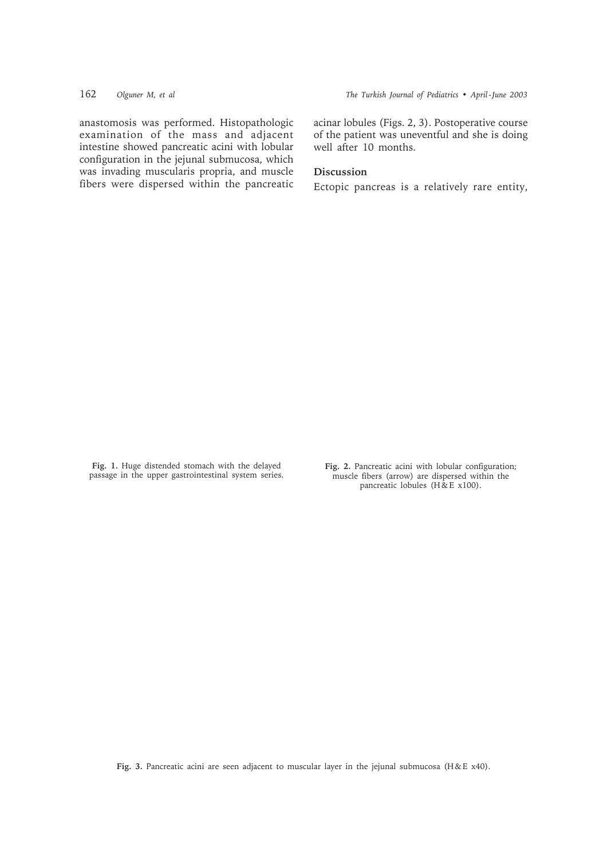anastomosis was performed. Histopathologic examination of the mass and adjacent intestine showed pancreatic acini with lobular configuration in the jejunal submucosa, which was invading muscularis propria, and muscle fibers were dispersed within the pancreatic acinar lobules (Figs. 2, 3). Postoperative course of the patient was uneventful and she is doing well after 10 months.

# **Discussion**

Ectopic pancreas is a relatively rare entity,

**Fig. 1.** Huge distended stomach with the delayed passage in the upper gastrointestinal system series. **Fig. 2.** Pancreatic acini with lobular configuration; muscle fibers (arrow) are dispersed within the pancreatic lobules (H & E x100).

Fig. 3. Pancreatic acini are seen adjacent to muscular layer in the jejunal submucosa (H&E x40).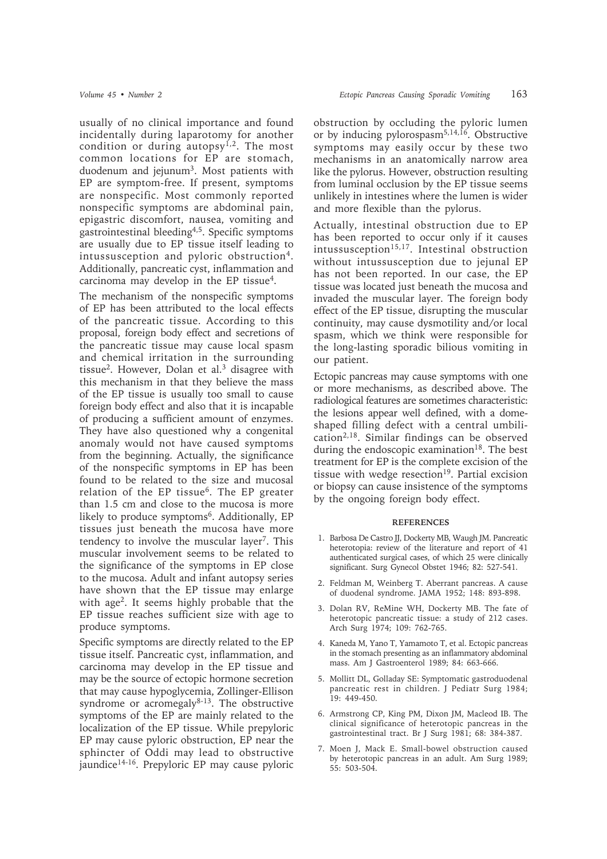usually of no clinical importance and found incidentally during laparotomy for another condition or during autopsy<sup>1,2</sup>. The most common locations for EP are stomach, duodenum and jejunum<sup>3</sup>. Most patients with EP are symptom-free. If present, symptoms are nonspecific. Most commonly reported nonspecific symptoms are abdominal pain, epigastric discomfort, nausea, vomiting and gastrointestinal bleeding4,5. Specific symptoms are usually due to EP tissue itself leading to intussusception and pyloric obstruction<sup>4</sup>. Additionally, pancreatic cyst, inflammation and carcinoma may develop in the EP tissue<sup>4</sup>.

The mechanism of the nonspecific symptoms of EP has been attributed to the local effects of the pancreatic tissue. According to this proposal, foreign body effect and secretions of the pancreatic tissue may cause local spasm and chemical irritation in the surrounding tissue2. However, Dolan et al.3 disagree with this mechanism in that they believe the mass of the EP tissue is usually too small to cause foreign body effect and also that it is incapable of producing a sufficient amount of enzymes. They have also questioned why a congenital anomaly would not have caused symptoms from the beginning. Actually, the significance of the nonspecific symptoms in EP has been found to be related to the size and mucosal relation of the EP tissue<sup>6</sup>. The EP greater than 1.5 cm and close to the mucosa is more likely to produce symptoms<sup>6</sup>. Additionally, EP tissues just beneath the mucosa have more tendency to involve the muscular layer<sup>7</sup>. This muscular involvement seems to be related to the significance of the symptoms in EP close to the mucosa. Adult and infant autopsy series have shown that the EP tissue may enlarge with age<sup>2</sup>. It seems highly probable that the EP tissue reaches sufficient size with age to produce symptoms.

Specific symptoms are directly related to the EP tissue itself. Pancreatic cyst, inflammation, and carcinoma may develop in the EP tissue and may be the source of ectopic hormone secretion that may cause hypoglycemia, Zollinger-Ellison syndrome or acromegaly $8-13$ . The obstructive symptoms of the EP are mainly related to the localization of the EP tissue. While prepyloric EP may cause pyloric obstruction, EP near the sphincter of Oddi may lead to obstructive jaundice14-16. Prepyloric EP may cause pyloric obstruction by occluding the pyloric lumen or by inducing pylorospasm<sup>5,14,16</sup>. Obstructive symptoms may easily occur by these two mechanisms in an anatomically narrow area like the pylorus. However, obstruction resulting from luminal occlusion by the EP tissue seems unlikely in intestines where the lumen is wider and more flexible than the pylorus.

Actually, intestinal obstruction due to EP has been reported to occur only if it causes  $intussusception<sup>15,17</sup>. Integral obstruction$ without intussusception due to jejunal EP has not been reported. In our case, the EP tissue was located just beneath the mucosa and invaded the muscular layer. The foreign body effect of the EP tissue, disrupting the muscular continuity, may cause dysmotility and/or local spasm, which we think were responsible for the long-lasting sporadic bilious vomiting in our patient.

Ectopic pancreas may cause symptoms with one or more mechanisms, as described above. The radiological features are sometimes characteristic: the lesions appear well defined, with a domeshaped filling defect with a central umbilication<sup>2,18</sup>. Similar findings can be observed during the endoscopic examination<sup>18</sup>. The best treatment for EP is the complete excision of the tissue with wedge resection<sup>19</sup>. Partial excision or biopsy can cause insistence of the symptoms by the ongoing foreign body effect.

### **REFERENCES**

- 1. Barbosa De Castro JJ, Dockerty MB, Waugh JM. Pancreatic heterotopia: review of the literature and report of 41 authenticated surgical cases, of which 25 were clinically significant. Surg Gynecol Obstet 1946; 82: 527-541.
- 2. Feldman M, Weinberg T. Aberrant pancreas. A cause of duodenal syndrome. JAMA 1952; 148: 893-898.
- 3. Dolan RV, ReMine WH, Dockerty MB. The fate of heterotopic pancreatic tissue: a study of 212 cases. Arch Surg 1974; 109: 762-765.
- 4. Kaneda M, Yano T, Yamamoto T, et al. Ectopic pancreas in the stomach presenting as an inflammatory abdominal mass. Am J Gastroenterol 1989; 84: 663-666.
- 5. Mollitt DL, Golladay SE: Symptomatic gastroduodenal pancreatic rest in children. J Pediatr Surg 1984; 19: 449-450.
- 6. Armstrong CP, King PM, Dixon JM, Macleod IB. The clinical significance of heterotopic pancreas in the gastrointestinal tract. Br J Surg 1981; 68: 384-387.
- 7. Moen J, Mack E. Small-bowel obstruction caused by heterotopic pancreas in an adult. Am Surg 1989; 55: 503-504.